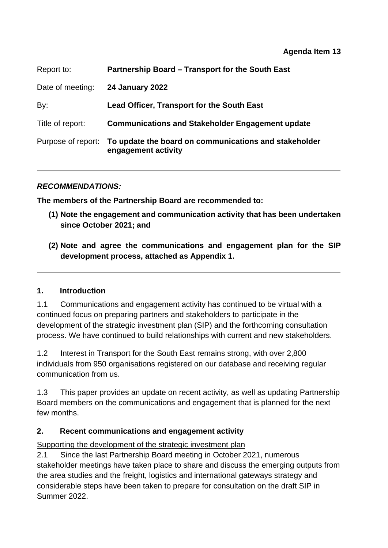#### **Agenda Item 13**

| Report to:         | Partnership Board - Transport for the South East                             |  |  |
|--------------------|------------------------------------------------------------------------------|--|--|
| Date of meeting:   | <b>24 January 2022</b>                                                       |  |  |
| By:                | <b>Lead Officer, Transport for the South East</b>                            |  |  |
| Title of report:   | <b>Communications and Stakeholder Engagement update</b>                      |  |  |
| Purpose of report: | To update the board on communications and stakeholder<br>engagement activity |  |  |

### *RECOMMENDATIONS:*

**The members of the Partnership Board are recommended to:** 

- **(1) Note the engagement and communication activity that has been undertaken since October 2021; and**
- **(2) Note and agree the communications and engagement plan for the SIP development process, attached as Appendix 1.**

### **1. Introduction**

1.1 Communications and engagement activity has continued to be virtual with a continued focus on preparing partners and stakeholders to participate in the development of the strategic investment plan (SIP) and the forthcoming consultation process. We have continued to build relationships with current and new stakeholders.

1.2 Interest in Transport for the South East remains strong, with over 2,800 individuals from 950 organisations registered on our database and receiving regular communication from us.

1.3 This paper provides an update on recent activity, as well as updating Partnership Board members on the communications and engagement that is planned for the next few months.

### **2. Recent communications and engagement activity**

Supporting the development of the strategic investment plan

2.1 Since the last Partnership Board meeting in October 2021, numerous stakeholder meetings have taken place to share and discuss the emerging outputs from the area studies and the freight, logistics and international gateways strategy and considerable steps have been taken to prepare for consultation on the draft SIP in Summer 2022.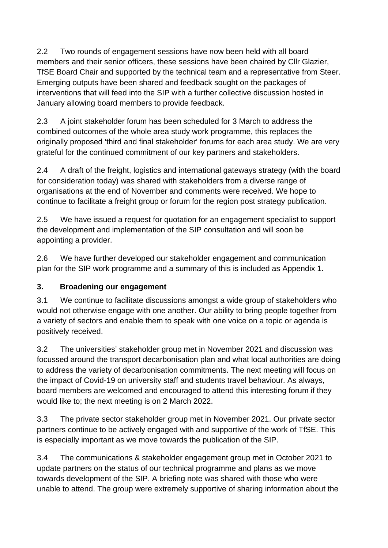2.2 Two rounds of engagement sessions have now been held with all board members and their senior officers, these sessions have been chaired by Cllr Glazier, TfSE Board Chair and supported by the technical team and a representative from Steer. Emerging outputs have been shared and feedback sought on the packages of interventions that will feed into the SIP with a further collective discussion hosted in January allowing board members to provide feedback.

2.3 A joint stakeholder forum has been scheduled for 3 March to address the combined outcomes of the whole area study work programme, this replaces the originally proposed 'third and final stakeholder' forums for each area study. We are very grateful for the continued commitment of our key partners and stakeholders.

2.4 A draft of the freight, logistics and international gateways strategy (with the board for consideration today) was shared with stakeholders from a diverse range of organisations at the end of November and comments were received. We hope to continue to facilitate a freight group or forum for the region post strategy publication.

2.5 We have issued a request for quotation for an engagement specialist to support the development and implementation of the SIP consultation and will soon be appointing a provider.

2.6 We have further developed our stakeholder engagement and communication plan for the SIP work programme and a summary of this is included as Appendix 1.

# **3. Broadening our engagement**

3.1 We continue to facilitate discussions amongst a wide group of stakeholders who would not otherwise engage with one another. Our ability to bring people together from a variety of sectors and enable them to speak with one voice on a topic or agenda is positively received.

3.2 The universities' stakeholder group met in November 2021 and discussion was focussed around the transport decarbonisation plan and what local authorities are doing to address the variety of decarbonisation commitments. The next meeting will focus on the impact of Covid-19 on university staff and students travel behaviour. As always, board members are welcomed and encouraged to attend this interesting forum if they would like to; the next meeting is on 2 March 2022.

3.3 The private sector stakeholder group met in November 2021. Our private sector partners continue to be actively engaged with and supportive of the work of TfSE. This is especially important as we move towards the publication of the SIP.

3.4 The communications & stakeholder engagement group met in October 2021 to update partners on the status of our technical programme and plans as we move towards development of the SIP. A briefing note was shared with those who were unable to attend. The group were extremely supportive of sharing information about the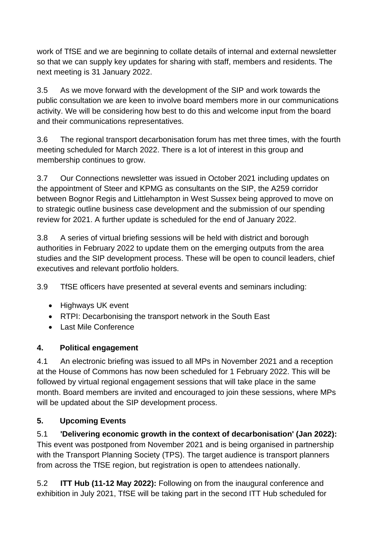work of TfSE and we are beginning to collate details of internal and external newsletter so that we can supply key updates for sharing with staff, members and residents. The next meeting is 31 January 2022.

3.5 As we move forward with the development of the SIP and work towards the public consultation we are keen to involve board members more in our communications activity. We will be considering how best to do this and welcome input from the board and their communications representatives.

3.6 The regional transport decarbonisation forum has met three times, with the fourth meeting scheduled for March 2022. There is a lot of interest in this group and membership continues to grow.

3.7 Our Connections newsletter was issued in October 2021 including updates on the appointment of Steer and KPMG as consultants on the SIP, the A259 corridor between Bognor Regis and Littlehampton in West Sussex being approved to move on to strategic outline business case development and the submission of our spending review for 2021. A further update is scheduled for the end of January 2022.

3.8 A series of virtual briefing sessions will be held with district and borough authorities in February 2022 to update them on the emerging outputs from the area studies and the SIP development process. These will be open to council leaders, chief executives and relevant portfolio holders.

3.9 TfSE officers have presented at several events and seminars including:

- Highways UK event
- RTPI: Decarbonising the transport network in the South East
- Last Mile Conference

## **4. Political engagement**

4.1 An electronic briefing was issued to all MPs in November 2021 and a reception at the House of Commons has now been scheduled for 1 February 2022. This will be followed by virtual regional engagement sessions that will take place in the same month. Board members are invited and encouraged to join these sessions, where MPs will be updated about the SIP development process.

# **5. Upcoming Events**

5.1 **'Delivering economic growth in the context of decarbonisation' (Jan 2022):** This event was postponed from November 2021 and is being organised in partnership with the Transport Planning Society (TPS). The target audience is transport planners from across the TfSE region, but registration is open to attendees nationally.

5.2 **ITT Hub (11-12 May 2022):** Following on from the inaugural conference and exhibition in July 2021, TfSE will be taking part in the second ITT Hub scheduled for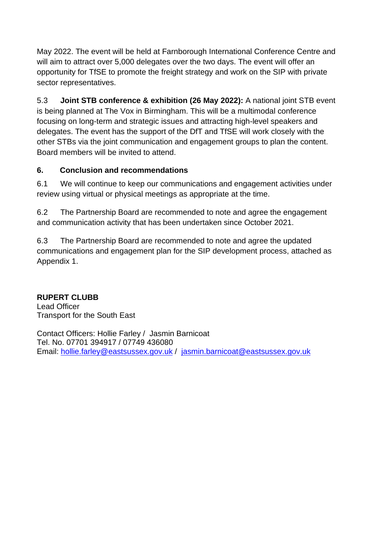May 2022. The event will be held at Farnborough International Conference Centre and will aim to attract over 5,000 delegates over the two days. The event will offer an opportunity for TfSE to promote the freight strategy and work on the SIP with private sector representatives.

5.3 **Joint STB conference & exhibition (26 May 2022):** A national joint STB event is being planned at The Vox in Birmingham. This will be a multimodal conference focusing on long-term and strategic issues and attracting high-level speakers and delegates. The event has the support of the DfT and TfSE will work closely with the other STBs via the joint communication and engagement groups to plan the content. Board members will be invited to attend.

## **6. Conclusion and recommendations**

6.1 We will continue to keep our communications and engagement activities under review using virtual or physical meetings as appropriate at the time.

6.2 The Partnership Board are recommended to note and agree the engagement and communication activity that has been undertaken since October 2021.

6.3 The Partnership Board are recommended to note and agree the updated communications and engagement plan for the SIP development process, attached as Appendix 1.

## **RUPERT CLUBB**

Lead Officer Transport for the South East

Contact Officers: Hollie Farley / Jasmin Barnicoat Tel. No. 07701 394917 / 07749 436080 Email: [hollie.farley@eastsussex.gov.uk](mailto:hollie.farley@eastsussex.gov.uk) / jasmin.barnicoat@eastsussex.gov.uk